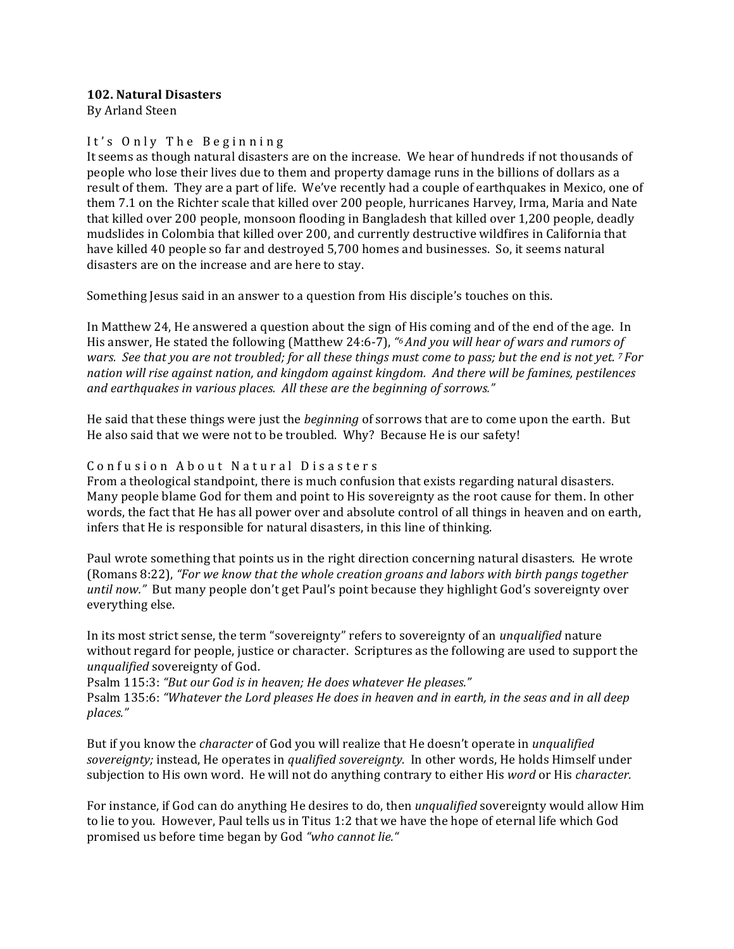## **102. Natural Disasters**

By Arland Steen

## It's Only The Beginning

It seems as though natural disasters are on the increase. We hear of hundreds if not thousands of people who lose their lives due to them and property damage runs in the billions of dollars as a result of them. They are a part of life. We've recently had a couple of earthquakes in Mexico, one of them 7.1 on the Richter scale that killed over 200 people, hurricanes Harvey, Irma, Maria and Nate that killed over 200 people, monsoon flooding in Bangladesh that killed over 1,200 people, deadly mudslides in Colombia that killed over 200, and currently destructive wildfires in California that have killed 40 people so far and destroyed 5,700 homes and businesses. So, it seems natural disasters are on the increase and are here to stay.

Something Jesus said in an answer to a question from His disciple's touches on this.

In Matthew 24, He answered a question about the sign of His coming and of the end of the age. In His answer, He stated the following (Matthew 24:6-7), "<sup>6</sup> And you will hear of wars and rumors of wars. See that you are not troubled; for all these things must come to pass; but the end is not yet. <sup>7</sup> For nation will rise against nation, and kingdom against kingdom. And there will be famines, pestilences and earthquakes in various places. All these are the beginning of sorrows."

He said that these things were just the *beginning* of sorrows that are to come upon the earth. But He also said that we were not to be troubled. Why? Because He is our safety!

## Confusion About Natural Disasters

From a theological standpoint, there is much confusion that exists regarding natural disasters. Many people blame God for them and point to His sovereignty as the root cause for them. In other words, the fact that He has all power over and absolute control of all things in heaven and on earth, infers that He is responsible for natural disasters, in this line of thinking.

Paul wrote something that points us in the right direction concerning natural disasters. He wrote (Romans 8:22), "For we know that the whole creation groans and labors with birth pangs together *until now."* But many people don't get Paul's point because they highlight God's sovereignty over everything else.

In its most strict sense, the term "sovereignty" refers to sovereignty of an *unqualified* nature without regard for people, justice or character. Scriptures as the following are used to support the *unqualified* sovereignty of God.

Psalm 115:3: "But our God is in heaven; He does whatever He pleases." Psalm 135:6: "Whatever the Lord pleases He does in heaven and in earth, in the seas and in all deep *places."*

But if you know the *character* of God you will realize that He doesn't operate in *unqualified sovereignty;* instead, He operates in *qualified sovereignty*. In other words, He holds Himself under subjection to His own word. He will not do anything contrary to either His *word* or His *character.* 

For instance, if God can do anything He desires to do, then *unqualified* sovereignty would allow Him to lie to you. However, Paul tells us in Titus 1:2 that we have the hope of eternal life which God promised us before time began by God "who cannot lie."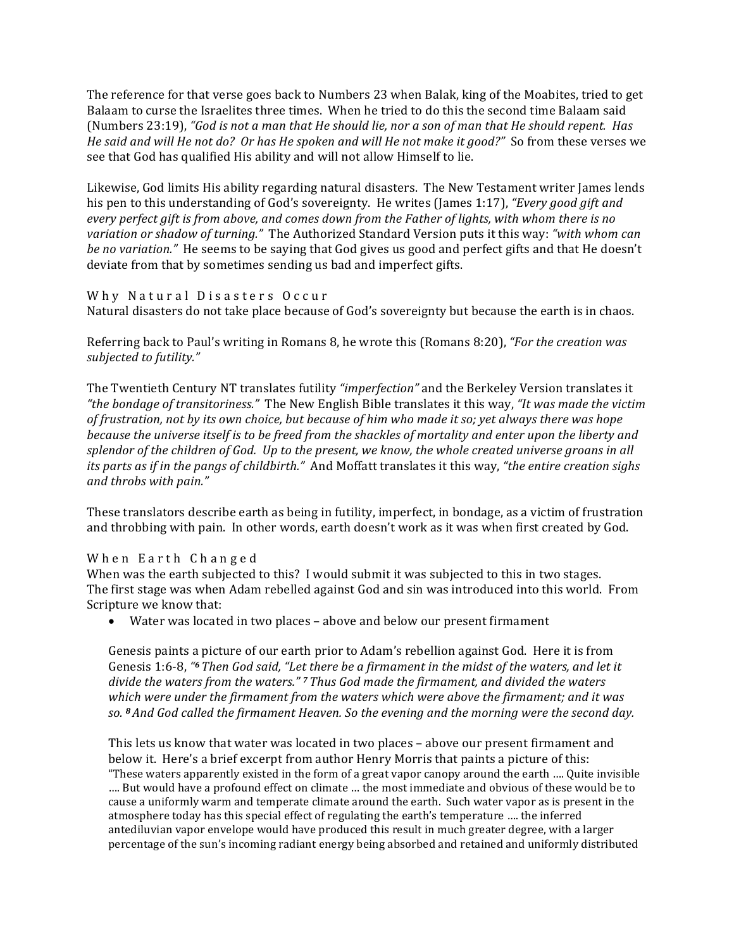The reference for that verse goes back to Numbers 23 when Balak, king of the Moabites, tried to get Balaam to curse the Israelites three times. When he tried to do this the second time Balaam said (Numbers 23:19), "God is not a man that He should lie, nor a son of man that He should repent. Has *He said and will He not do? Or has He spoken and will He not make it good?"* So from these verses we see that God has qualified His ability and will not allow Himself to lie.

Likewise, God limits His ability regarding natural disasters. The New Testament writer James lends his pen to this understanding of God's sovereignty. He writes (James 1:17), *"Every good gift and every perfect gift is from above, and comes down from the Father of lights, with whom there is no* variation or shadow of turning." The Authorized Standard Version puts it this way: "with whom can *be no variation.*" He seems to be saying that God gives us good and perfect gifts and that He doesn't deviate from that by sometimes sending us bad and imperfect gifts.

Why Natural Disasters Occur Natural disasters do not take place because of God's sovereignty but because the earth is in chaos.

Referring back to Paul's writing in Romans 8, he wrote this (Romans 8:20), "For the creation was subjected to futility."

The Twentieth Century NT translates futility "*imperfection*" and the Berkeley Version translates it *"the bondage of transitoriness."* The New English Bible translates it this way, "It was made the victim of frustration, not by its own choice, but because of him who made it so; yet always there was hope *because* the universe itself is to be freed from the shackles of mortality and enter upon the liberty and splendor of the children of God. Up to the present, we know, the whole created universe groans in all *its parts as if in the pangs of childbirth.*" And Moffatt translates it this way, "the entire creation sighs *and throbs with pain."*

These translators describe earth as being in futility, imperfect, in bondage, as a victim of frustration and throbbing with pain. In other words, earth doesn't work as it was when first created by God.

## When Earth Changed

When was the earth subjected to this? I would submit it was subjected to this in two stages. The first stage was when Adam rebelled against God and sin was introduced into this world. From Scripture we know that:

• Water was located in two places – above and below our present firmament

Genesis paints a picture of our earth prior to Adam's rebellion against God. Here it is from Genesis 1:6-8, "<sup>6</sup> Then God said, "Let there be a firmament in the midst of the waters, and let it divide the waters from the waters." <sup>7</sup> Thus God made the firmament, and divided the waters *which* were under the firmament from the waters which were above the firmament; and it was so. <sup>8</sup> And God called the firmament Heaven. So the evening and the morning were the second day.

This lets us know that water was located in two places - above our present firmament and below it. Here's a brief excerpt from author Henry Morris that paints a picture of this: "These waters apparently existed in the form of a great vapor canopy around the earth .... Quite invisible .... But would have a profound effect on climate ... the most immediate and obvious of these would be to cause a uniformly warm and temperate climate around the earth. Such water vapor as is present in the atmosphere today has this special effect of regulating the earth's temperature .... the inferred antediluvian vapor envelope would have produced this result in much greater degree, with a larger percentage of the sun's incoming radiant energy being absorbed and retained and uniformly distributed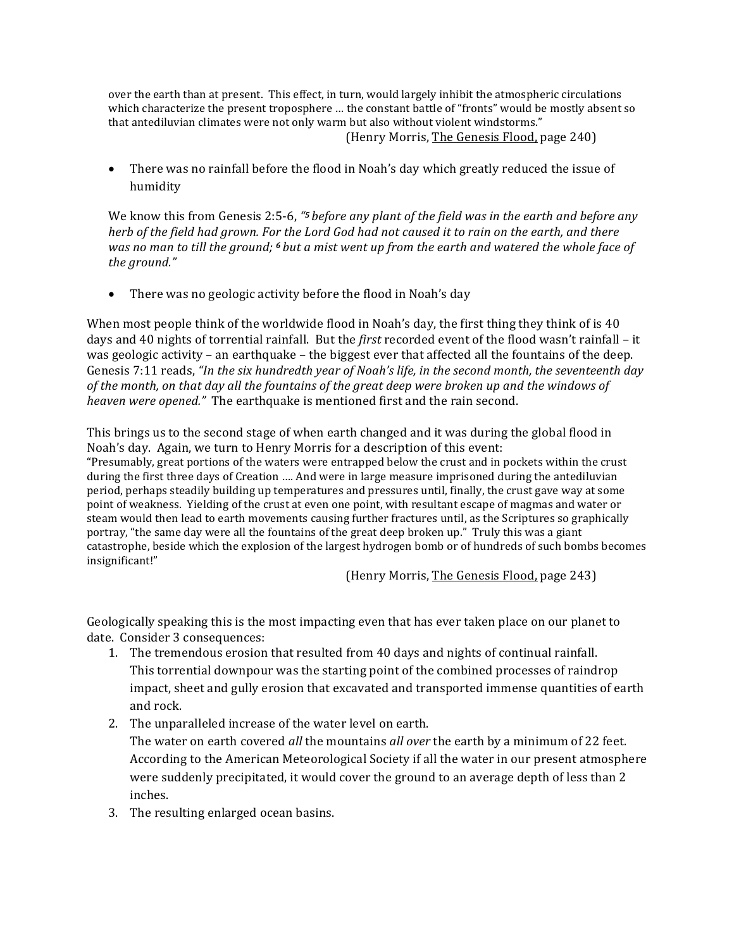over the earth than at present. This effect, in turn, would largely inhibit the atmospheric circulations which characterize the present troposphere ... the constant battle of "fronts" would be mostly absent so that antediluvian climates were not only warm but also without violent windstorms."

(Henry Morris, The Genesis Flood, page 240)

• There was no rainfall before the flood in Noah's day which greatly reduced the issue of humidity

We know this from Genesis 2:5-6, "<sup>5</sup> before any plant of the field was in the earth and before any *herb* of the field had grown. For the Lord God had not caused it to rain on the earth, and there was no man to till the ground;  $6$  but a mist went up from the earth and watered the whole face of *the ground."*

• There was no geologic activity before the flood in Noah's day

When most people think of the worldwide flood in Noah's day, the first thing they think of is 40 days and 40 nights of torrential rainfall. But the *first* recorded event of the flood wasn't rainfall – it was geologic activity – an earthquake – the biggest ever that affected all the fountains of the deep. Genesis 7:11 reads, "In the six hundredth year of Noah's life, in the second month, the seventeenth day of the month, on that day all the fountains of the great deep were broken up and the windows of *heaven* were opened." The earthquake is mentioned first and the rain second.

This brings us to the second stage of when earth changed and it was during the global flood in Noah's day. Again, we turn to Henry Morris for a description of this event: "Presumably, great portions of the waters were entrapped below the crust and in pockets within the crust during the first three days of Creation .... And were in large measure imprisoned during the antediluvian period, perhaps steadily building up temperatures and pressures until, finally, the crust gave way at some point of weakness. Yielding of the crust at even one point, with resultant escape of magmas and water or steam would then lead to earth movements causing further fractures until, as the Scriptures so graphically portray, "the same day were all the fountains of the great deep broken up." Truly this was a giant catastrophe, beside which the explosion of the largest hydrogen bomb or of hundreds of such bombs becomes insignificant!"

(Henry Morris, The Genesis Flood, page 243)

Geologically speaking this is the most impacting even that has ever taken place on our planet to date. Consider 3 consequences:

- 1. The tremendous erosion that resulted from 40 days and nights of continual rainfall. This torrential downpour was the starting point of the combined processes of raindrop impact, sheet and gully erosion that excavated and transported immense quantities of earth and rock.
- 2. The unparalleled increase of the water level on earth.

The water on earth covered *all* the mountains *all over* the earth by a minimum of 22 feet. According to the American Meteorological Society if all the water in our present atmosphere were suddenly precipitated, it would cover the ground to an average depth of less than 2 inches.

3. The resulting enlarged ocean basins.